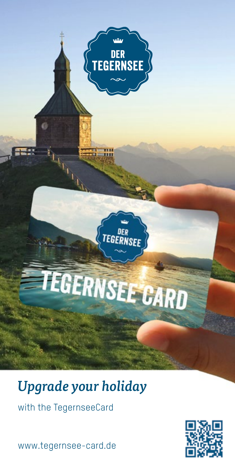

# *Upgrade your holiday*

with the TegernseeCard

www.tegernsee-card.de